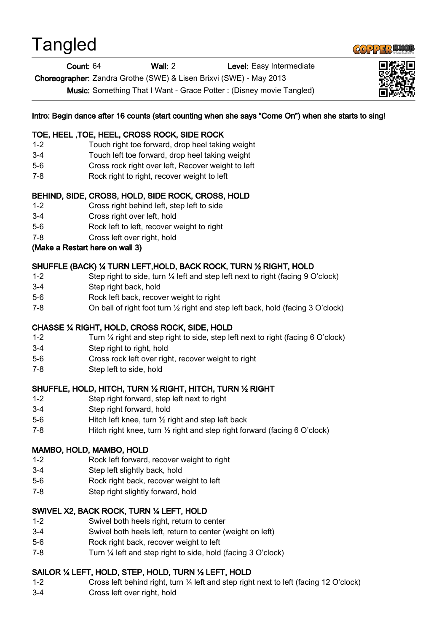# **Tangled**



Count: 64 Wall: 2 Level: Easy Intermediate

Choreographer: Zandra Grothe (SWE) & Lisen Brixvi (SWE) - May 2013

Music: Something That I Want - Grace Potter : (Disney movie Tangled)



## Intro: Begin dance after 16 counts (start counting when she says "Come On") when she starts to sing!

#### TOE, HEEL ,TOE, HEEL, CROSS ROCK, SIDE ROCK

- 1-2 Touch right toe forward, drop heel taking weight
- 3-4 Touch left toe forward, drop heel taking weight
- 5-6 Cross rock right over left, Recover weight to left
- 7-8 Rock right to right, recover weight to left

### BEHIND, SIDE, CROSS, HOLD, SIDE ROCK, CROSS, HOLD

- 1-2 Cross right behind left, step left to side
- 3-4 Cross right over left, hold
- 5-6 Rock left to left, recover weight to right
- 7-8 Cross left over right, hold

#### (Make a Restart here on wall 3)

### SHUFFLE (BACK) ¼ TURN LEFT,HOLD, BACK ROCK, TURN ½ RIGHT, HOLD

- 1-2 Step right to side, turn ¼ left and step left next to right (facing 9 O'clock)
- 3-4 Step right back, hold
- 5-6 Rock left back, recover weight to right
- 7-8 On ball of right foot turn ½ right and step left back, hold (facing 3 O'clock)

# CHASSE ¼ RIGHT, HOLD, CROSS ROCK, SIDE, HOLD

- 1-2 Turn ¼ right and step right to side, step left next to right (facing 6 O'clock)
- 3-4 Step right to right, hold
- 5-6 Cross rock left over right, recover weight to right
- 7-8 Step left to side, hold

#### SHUFFLE, HOLD, HITCH, TURN ½ RIGHT, HITCH, TURN ½ RIGHT

- 1-2 Step right forward, step left next to right
- 3-4 Step right forward, hold
- 5-6 Hitch left knee, turn ½ right and step left back
- 7-8 Hitch right knee, turn ½ right and step right forward (facing 6 O'clock)

# MAMBO, HOLD, MAMBO, HOLD

- 1-2 Rock left forward, recover weight to right
- 3-4 Step left slightly back, hold
- 5-6 Rock right back, recover weight to left
- 7-8 Step right slightly forward, hold

# SWIVEL X2, BACK ROCK, TURN ¼ LEFT, HOLD

- 1-2 Swivel both heels right, return to center
- 3-4 Swivel both heels left, return to center (weight on left)
- 5-6 Rock right back, recover weight to left
- 7-8 Turn ¼ left and step right to side, hold (facing 3 O'clock)

# SAILOR ¼ LEFT, HOLD, STEP, HOLD, TURN ½ LEFT, HOLD

- 1-2 Cross left behind right, turn ¼ left and step right next to left (facing 12 O'clock)
- 3-4 Cross left over right, hold